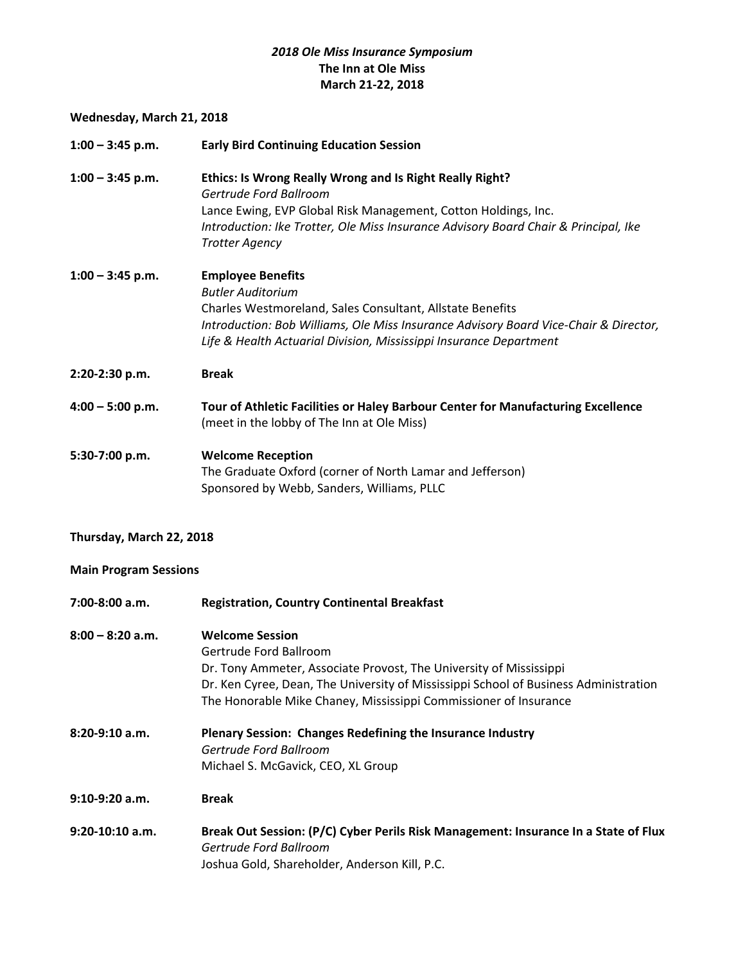## *2018 Ole Miss Insurance Symposium* **The Inn at Ole Miss March 21-22, 2018**

## **Wednesday, March 21, 2018**

| $1:00 - 3:45$ p.m. | <b>Early Bird Continuing Education Session</b>                                                                                                                                                                                                                                  |
|--------------------|---------------------------------------------------------------------------------------------------------------------------------------------------------------------------------------------------------------------------------------------------------------------------------|
| $1:00 - 3:45$ p.m. | Ethics: Is Wrong Really Wrong and Is Right Really Right?<br>Gertrude Ford Ballroom<br>Lance Ewing, EVP Global Risk Management, Cotton Holdings, Inc.<br>Introduction: Ike Trotter, Ole Miss Insurance Advisory Board Chair & Principal, Ike<br><b>Trotter Agency</b>            |
| $1:00 - 3:45$ p.m. | <b>Employee Benefits</b><br><b>Butler Auditorium</b><br>Charles Westmoreland, Sales Consultant, Allstate Benefits<br>Introduction: Bob Williams, Ole Miss Insurance Advisory Board Vice-Chair & Director,<br>Life & Health Actuarial Division, Mississippi Insurance Department |
| 2:20-2:30 p.m.     | <b>Break</b>                                                                                                                                                                                                                                                                    |
| $4:00 - 5:00$ p.m. | Tour of Athletic Facilities or Haley Barbour Center for Manufacturing Excellence<br>(meet in the lobby of The Inn at Ole Miss)                                                                                                                                                  |
| 5:30-7:00 p.m.     | <b>Welcome Reception</b><br>The Graduate Oxford (corner of North Lamar and Jefferson)<br>Sponsored by Webb, Sanders, Williams, PLLC                                                                                                                                             |

## **Thursday, March 22, 2018**

## **Main Program Sessions**

| $7:00-8:00$ a.m.   | <b>Registration, Country Continental Breakfast</b>                                   |
|--------------------|--------------------------------------------------------------------------------------|
| $8:00 - 8:20$ a.m. | <b>Welcome Session</b>                                                               |
|                    | Gertrude Ford Ballroom                                                               |
|                    | Dr. Tony Ammeter, Associate Provost, The University of Mississippi                   |
|                    | Dr. Ken Cyree, Dean, The University of Mississippi School of Business Administration |
|                    | The Honorable Mike Chaney, Mississippi Commissioner of Insurance                     |
| $8:20-9:10$ a.m.   | Plenary Session: Changes Redefining the Insurance Industry                           |
|                    | Gertrude Ford Ballroom                                                               |
|                    | Michael S. McGavick, CEO, XL Group                                                   |
| 9:10-9:20 a.m.     | <b>Break</b>                                                                         |
| $9:20-10:10$ a.m.  | Break Out Session: (P/C) Cyber Perils Risk Management: Insurance In a State of Flux  |
|                    | Gertrude Ford Ballroom                                                               |
|                    | Joshua Gold, Shareholder, Anderson Kill, P.C.                                        |